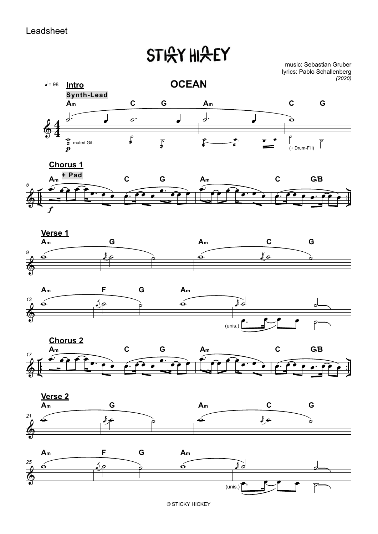## Leadsheet

## **STICY HIGEY**

music: Sebastian Gruber lyrics: Pablo Schallenberg *(2020)*